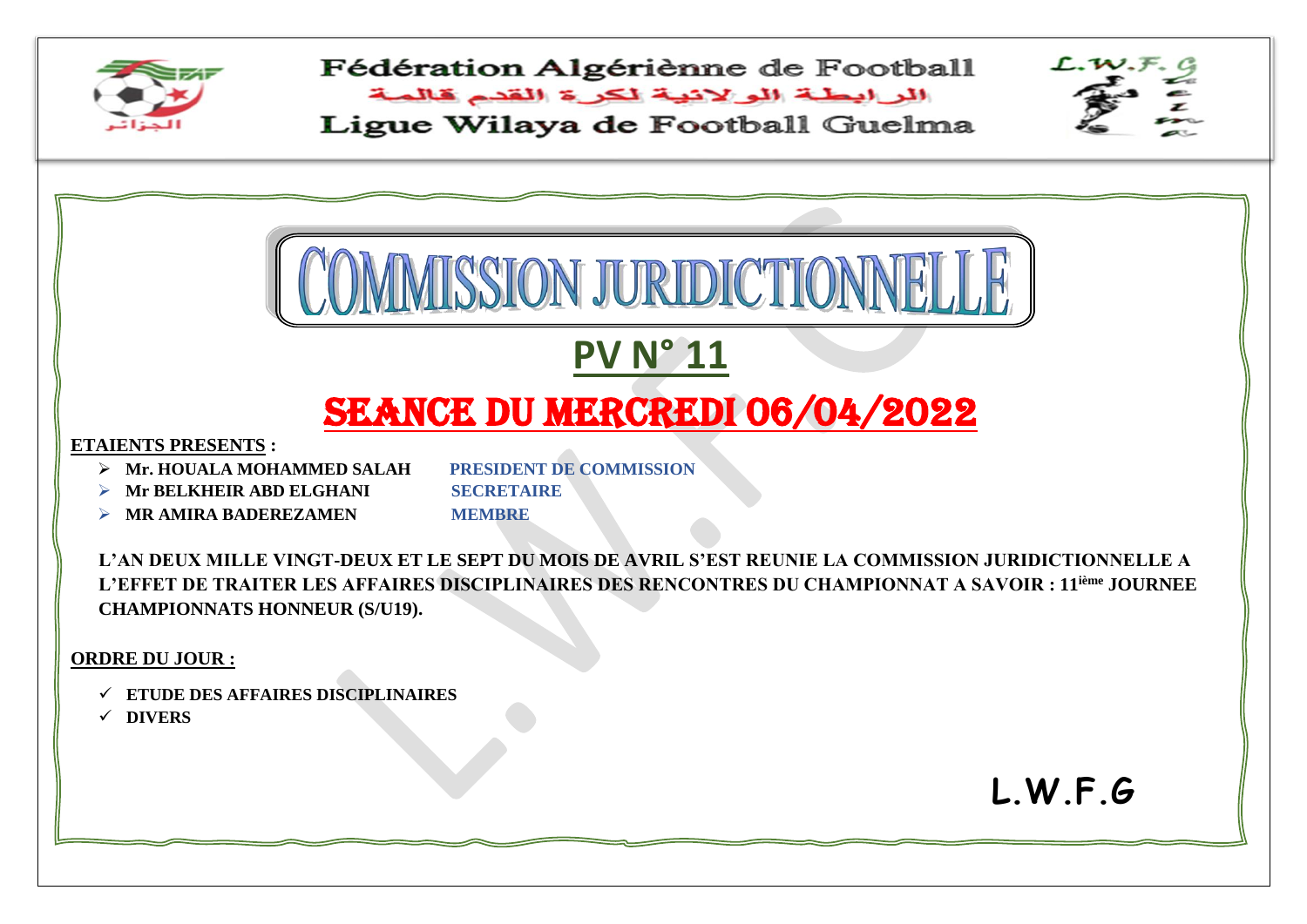

Fédération Algériènne de Football البرابطة الولانية لكرة القدم قالمة

Ligue Wilaya de Football Guelma



**L.W.F.G**

 $\sim$   $\sim$   $\sim$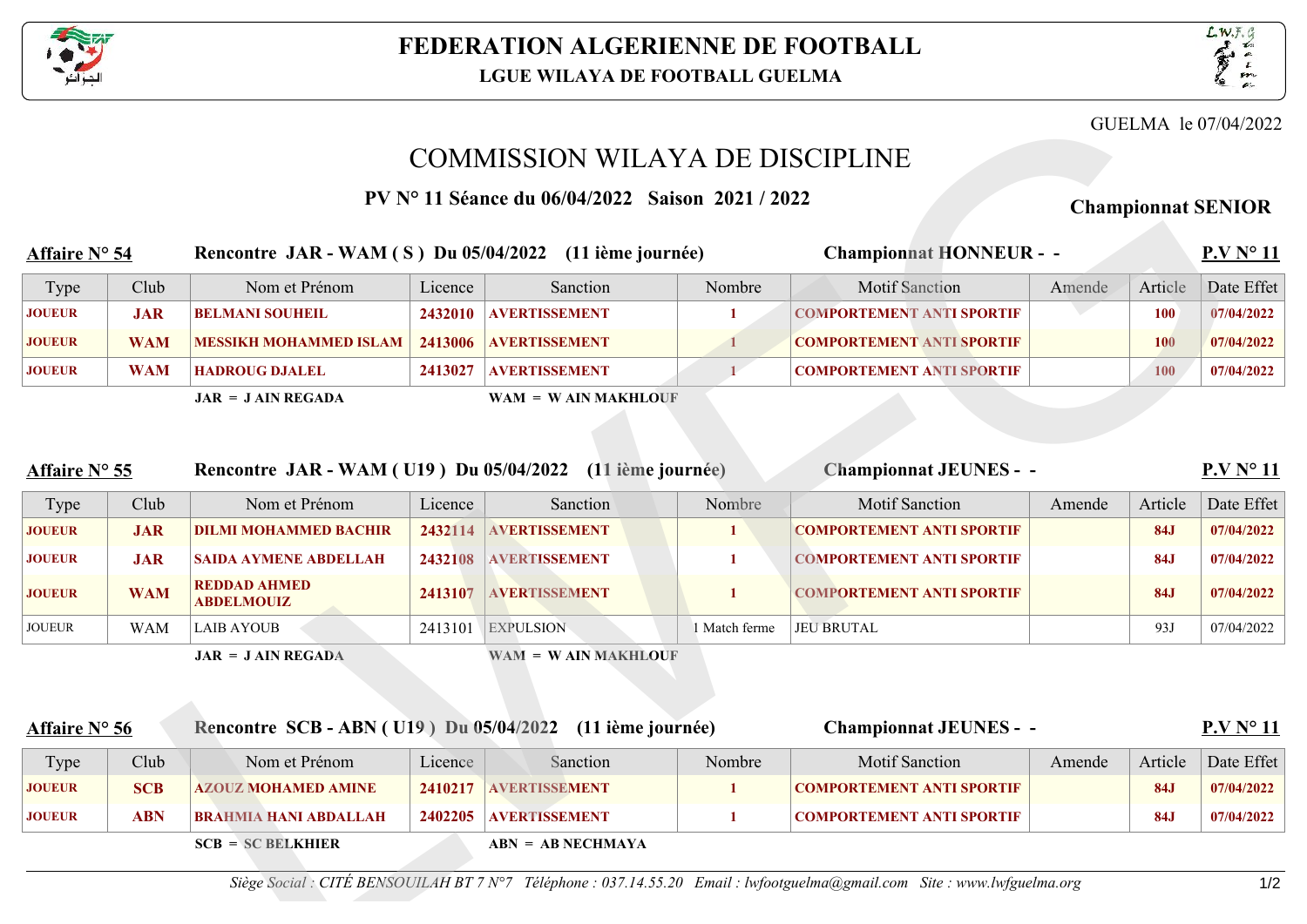



## COMMISSION WILAYA DE DISCIPLINE

|                                                                         |                 |                                                           |                           |                       |                          |                                  |        |            | GUELMA le 07/04/2022 |
|-------------------------------------------------------------------------|-----------------|-----------------------------------------------------------|---------------------------|-----------------------|--------------------------|----------------------------------|--------|------------|----------------------|
|                                                                         |                 | <b>COMMISSION WILAYA DE DISCIPLINE</b>                    |                           |                       |                          |                                  |        |            |                      |
|                                                                         |                 | <b>PV N</b> 11 Séance du 06/04/2022 Saison 2021 / 2022    | <b>Championnat SENIOR</b> |                       |                          |                                  |        |            |                      |
| Affaire N 54<br>Rencontre JAR - WAM (S) Du 05/04/2022 (11 ième journée) |                 |                                                           |                           |                       |                          | <b>Championnat HONNEUR - -</b>   |        |            | P.V N 11             |
| Type                                                                    | Club            | Nom et Prénom                                             | Licence                   | Sanction              | Nombre                   | <b>Motif Sanction</b>            | Amende | Article    | Date Effet           |
| <b>JOUEUR</b>                                                           | <b>JAR</b>      | <b>BELMANI SOUHEIL</b>                                    | 2432010                   | <b>AVERTISSEMENT</b>  | $1-$                     | <b>COMPORTEMENT ANTI SPORTIF</b> |        | <b>100</b> | 07/04/2022           |
| <b>JOUEUR</b>                                                           | <b>WAM</b>      | <b>MESSIKH MOHAMMED ISLAM</b>                             | 2413006                   | <b>AVERTISSEMENT</b>  |                          | <b>COMPORTEMENT ANTI SPORTIF</b> |        | <b>100</b> | 07/04/2022           |
| <b>JOUEUR</b>                                                           | <b>WAM</b>      | <b>HADROUG DJALEL</b>                                     | 2413027                   | <b>AVERTISSEMENT</b>  |                          | <b>COMPORTEMENT ANTI SPORTIF</b> |        | <b>100</b> | 07/04/2022           |
|                                                                         |                 | $JAR = JAIN REGADA$                                       |                           | $WAM = WAIN MAKHLOUF$ |                          |                                  |        |            |                      |
|                                                                         |                 |                                                           |                           |                       |                          |                                  |        |            |                      |
| <b>Affaire N 55</b>                                                     |                 | Rencontre JAR - WAM (U19) Du 05/04/2022 (11 ième journée) |                           |                       |                          | <b>Championnat JEUNES - -</b>    |        |            | P.V N 11             |
| Type                                                                    | Club            | Nom et Prénom                                             | Licence                   | Sanction              | Nombre                   | <b>Motif Sanction</b>            | Amende | Article    | Date Effet           |
| <b>JOUEUR</b>                                                           | <b>JAR</b>      | <b>DILMI MOHAMMED BACHIR</b>                              | 2432114                   | <b>AVERTISSEMENT</b>  | 1                        | <b>COMPORTEMENT ANTI SPORTIF</b> |        | <b>84J</b> | 07/04/2022           |
| <b>JOUEUR</b>                                                           | <b>JAR</b>      | <b>SAIDA AYMENE ABDELLAH</b>                              |                           | 2432108 AVERTISSEMENT |                          | <b>COMPORTEMENT ANTI SPORTIF</b> |        | <b>84J</b> | 07/04/2022           |
| <b>JOUEUR</b>                                                           | <b>WAM</b>      | <b>REDDAD AHMED</b><br><b>ABDELMOUIZ</b>                  |                           | 2413107 AVERTISSEMENT |                          | <b>COMPORTEMENT ANTI SPORTIF</b> |        | <b>84J</b> | 07/04/2022           |
| <b>IQUELID</b>                                                          | <b>TITA NAT</b> | <b>LAID AVOUD</b>                                         |                           | $2412101$ EVBIII CIOM | $1.14 \pm 1.2 \pm 0.000$ | <b>IELL DDITE AT</b>             |        | 02L        | 07/01/2022           |

| Affaire N 55  |      | Rencontre JAR - WAM (U19) Du 05/04/2022 (11 ième journée) |         |                      |               | <b>Championnat JEUNES - -</b>    |        |         | P.V N 11   |  |  |
|---------------|------|-----------------------------------------------------------|---------|----------------------|---------------|----------------------------------|--------|---------|------------|--|--|
| Type          | Club | Nom et Prénom                                             | Licence | <b>Sanction</b>      | <b>Nombre</b> | <b>Motif Sanction</b>            | Amende | Article | Date Effet |  |  |
| <b>JOUEUR</b> | JAR. | <b>DILMI MOHAMMED BACHIR</b>                              | 2432114 | <b>AVERTISSEMENT</b> |               | <b>COMPORTEMENT ANTI SPORTIF</b> |        | 84.1    | 07/04/2022 |  |  |
| <b>JOUEUR</b> | JAR. | <b>SAIDA AYMENE ABDELLAH</b>                              | 2432108 | <b>AVERTISSEMENT</b> |               | <b>COMPORTEMENT ANTI SPORTIF</b> |        | 84.     | 07/04/2022 |  |  |

|               |            | $JAR = JAIN REGADA$                      |         | $WAM = WAIN MAKHLOUF$ |             |                                  |            |            |
|---------------|------------|------------------------------------------|---------|-----------------------|-------------|----------------------------------|------------|------------|
| <b>JOUEUR</b> | <b>WAM</b> | LAIB AYOUB                               | 2413101 | <b>EXPULSION</b>      | Match ferme | <b>JEU BRUTAL</b>                | 93J        | 07/04/2022 |
| <b>JOUEUR</b> | <b>WAM</b> | <b>REDDAD AHMED</b><br><b>ABDELMOUIZ</b> | 2413107 | <b>AVERTISSEMENT</b>  |             | <b>COMPORTEMENT ANTI SPORTIF</b> | <b>84J</b> | 07/04/2022 |

| <b>Affaire N 55</b> |            | Rencontre JAR - WAM (U19) Du 05/04/2022 (11 ième journée) |         |                       |               | <b>Championnat JEUNES - -</b>    |        |            | P.V N 11   |
|---------------------|------------|-----------------------------------------------------------|---------|-----------------------|---------------|----------------------------------|--------|------------|------------|
| Type                | Club       | Nom et Prénom                                             | Licence | Sanction              | Nombre        | <b>Motif Sanction</b>            | Amende | Article    | Date Effet |
| <b>JOUEUR</b>       | <b>JAR</b> | <b>DILMI MOHAMMED BACHIR</b>                              | 2432114 | <b>AVERTISSEMENT</b>  |               | <b>COMPORTEMENT ANTI SPORTIF</b> |        | <b>84J</b> | 07/04/2022 |
| <b>JOUEUR</b>       | <b>JAR</b> | <b>SAIDA AYMENE ABDELLAH</b>                              | 2432108 | <b>AVERTISSEMENT</b>  | $\mathbf{1}$  | <b>COMPORTEMENT ANTI SPORTIF</b> |        | <b>84J</b> | 07/04/2022 |
| <b>JOUEUR</b>       | <b>WAM</b> | <b>REDDAD AHMED</b><br><b>ABDELMOUIZ</b>                  |         | 2413107 AVERTISSEMENT |               | <b>COMPORTEMENT ANTI SPORTIF</b> |        | <b>84J</b> | 07/04/2022 |
| <b>JOUEUR</b>       | <b>WAM</b> | <b>LAIB AYOUB</b>                                         | 2413101 | <b>EXPULSION</b>      | 1 Match ferme | <b>JEU BRUTAL</b>                |        | 93J        | 07/04/2022 |
| Affaire N 56        |            | Rencontre SCB - ABN (U19) Du 05/04/2022 (11 ième journée) |         |                       |               | <b>Championnat JEUNES - -</b>    |        |            | P.V N 11   |
| Type                | Club       | Nom et Prénom                                             | Licence | Sanction              | Nombre        | <b>Motif Sanction</b>            | Amende | Article    |            |
|                     |            |                                                           |         |                       |               |                                  |        |            | Date Effet |
| <b>JOUEUR</b>       | <b>SCB</b> | <b>AZOUZ MOHAMED AMINE</b>                                | 2410217 | <b>AVERTISSEMENT</b>  |               | <b>COMPORTEMENT ANTI SPORTIF</b> |        | <b>84J</b> | 07/04/2022 |
| <b>JOUEUR</b>       | <b>ABN</b> | <b>BRAHMIA HANI ABDALLAH</b>                              | 2402205 | <b>AVERTISSEMENT</b>  |               | <b>COMPORTEMENT ANTI SPORTIF</b> |        | <b>84J</b> | 07/04/2022 |
|                     |            | $SCB = SC BELKHIER$                                       |         | $ABN = AB NECHMAXA$   |               |                                  |        |            |            |